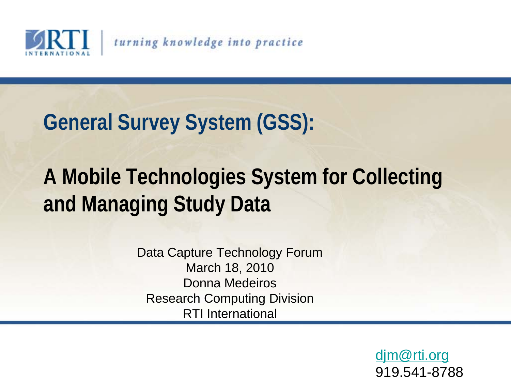

#### **General Survey System (GSS):**

#### **A Mobile Technologies System for Collecting and Managing Study Data**

Data Capture Technology Forum March 18, 2010 Donna Medeiros Research Computing Division RTI International

> [djm@rti.org](mailto:djm@rti.org) 919.541-8788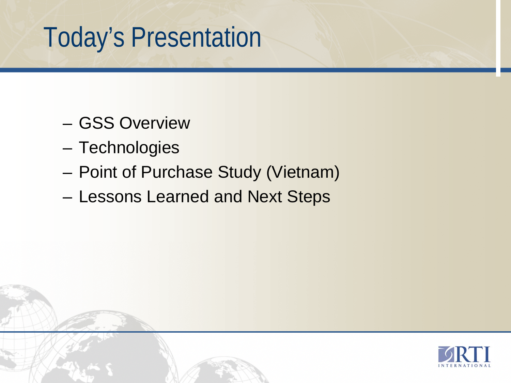## Today's Presentation

- GSS Overview
- Technologies
- Point of Purchase Study (Vietnam)
- Lessons Learned and Next Steps

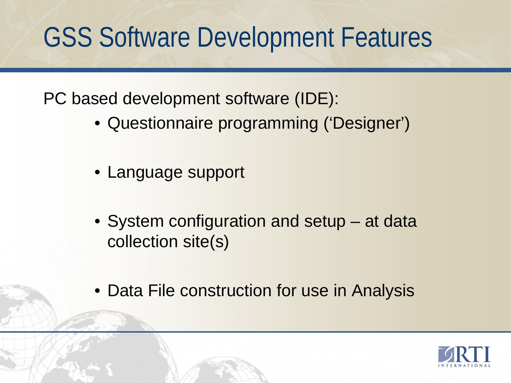## GSS Software Development Features

PC based development software (IDE):

- Questionnaire programming ('Designer')
- Language support
- System configuration and setup at data collection site(s)
- Data File construction for use in Analysis

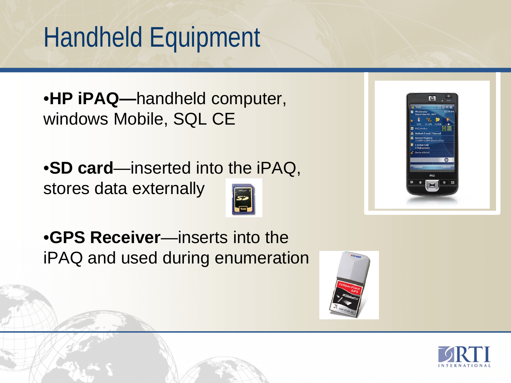# Handheld Equipment

•**HP iPAQ—**handheld computer, windows Mobile, SQL CE

•**SD card**—inserted into the iPAQ, stores data externally







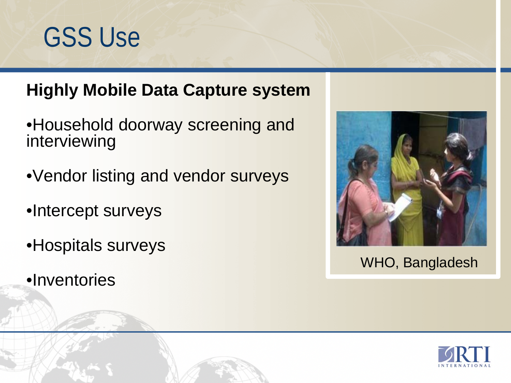## GSS Use

#### **Highly Mobile Data Capture system**

- •Household doorway screening and interviewing
- •Vendor listing and vendor surveys
- •Intercept surveys
- •Hospitals surveys
- •Inventories



WHO, Bangladesh

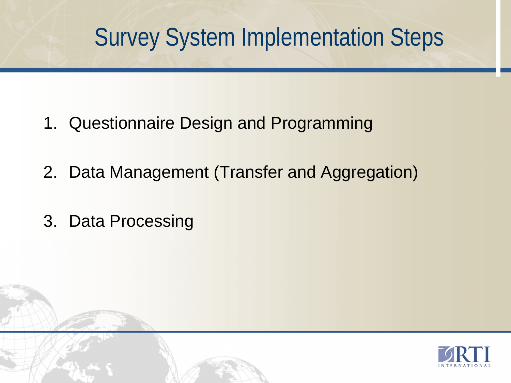#### Survey System Implementation Steps

- 1. Questionnaire Design and Programming
- 2. Data Management (Transfer and Aggregation)
- 3. Data Processing

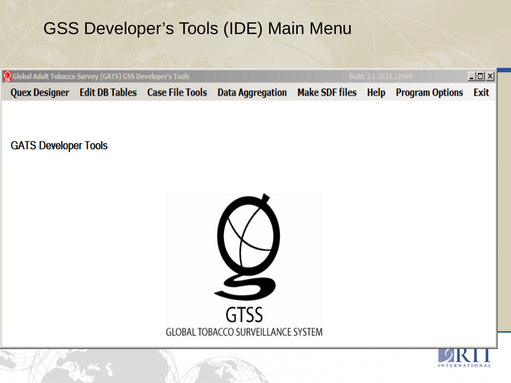#### GSS Developer's Tools (IDE) Main Menu

| Global Adult Tobacco Survey (GATS) GSS Developer's Tools |                                                  | <b>Build: 2.1.3522.12988</b>                         | $\Box$ D $\angle$ |  |      |
|----------------------------------------------------------|--------------------------------------------------|------------------------------------------------------|-------------------|--|------|
|                                                          | Quex Designer   Edit DB Tables   Case File Tools | Data Aggregation Make SDF files Help Program Options |                   |  | Exit |
| <b>GATS Developer Tools</b>                              |                                                  |                                                      |                   |  |      |
|                                                          |                                                  | <b>GTSS</b><br>GLOBAL TOBACCO SURVEILLANCE SYSTEM    |                   |  |      |
|                                                          |                                                  |                                                      |                   |  |      |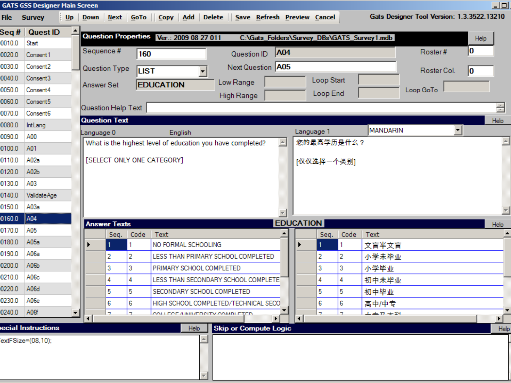|        | <b>GATS GSS Designer Main Screen</b> |            |                      |             |                                                               |                              |                  |                  |                          |      |                                             |                                            | 모다                               |
|--------|--------------------------------------|------------|----------------------|-------------|---------------------------------------------------------------|------------------------------|------------------|------------------|--------------------------|------|---------------------------------------------|--------------------------------------------|----------------------------------|
| File   | <b>Survey</b>                        |            |                      |             | Up Down Next GoTo Copy Add Delete Save Refresh Preview Cancel |                              |                  |                  |                          |      |                                             | Gats Designer Tool Version: 1.3.3522.13210 |                                  |
| seq#   | <b>Quest ID</b>                      |            |                      |             | Question Properties Ver.: 2009 08 27 011                      |                              |                  |                  |                          |      | C:\Gats_Folders\Survey_DBs\GATS_Survey1.mdb |                                            |                                  |
| 0.010  | Start                                |            |                      |             |                                                               |                              |                  |                  |                          |      |                                             |                                            | Help                             |
| 0.020  | Consent1                             | Sequence # |                      | 160         |                                                               | Question ID                  | A04              |                  |                          |      |                                             | Roster#                                    | 10                               |
| 0.020  | Consent <sub>2</sub>                 |            | Question Type        | <b>LIST</b> |                                                               | Next Question A05            |                  |                  |                          |      |                                             | Roster Col.                                | 10                               |
| 0.040  | Consent <sub>3</sub>                 |            |                      |             |                                                               | Low Range                    |                  |                  | Loop Start               |      |                                             |                                            |                                  |
| 050.0  | Consent4                             | Answer Set |                      |             | <b>EDUCATION</b>                                              | High Range                   |                  |                  | Loop End                 |      |                                             | Loop GoTo                                  |                                  |
| 0.0900 | Consent <sub>5</sub>                 |            |                      |             |                                                               |                              |                  |                  |                          |      |                                             |                                            |                                  |
| 070.0  | Consent <sub>6</sub>                 |            | Question Help Text   |             |                                                               |                              |                  |                  |                          |      |                                             |                                            | ÷                                |
| 0.080  | IntLang                              |            | <b>Question Text</b> |             |                                                               |                              |                  |                  |                          |      | <b>MANDARIN</b>                             |                                            | Help<br>$\vert \mathbf{v} \vert$ |
| 0.090  | A00                                  | Language 0 |                      |             | English                                                       |                              |                  |                  | Language 1<br>您的最高学历是什么? |      |                                             |                                            | $\triangle$                      |
| 0.0010 | A01                                  |            |                      |             | What is the highest level of education you have completed?    |                              | $\blacktriangle$ |                  |                          |      |                                             |                                            |                                  |
| 0.011  | A02a                                 |            |                      |             | [SELECT ONLY ONE CATEGORY]                                    |                              |                  |                  | [仅仅选择一个类别]               |      |                                             |                                            |                                  |
| 120.0  | A02b                                 |            |                      |             |                                                               |                              |                  |                  |                          |      |                                             |                                            |                                  |
| 130.0  | A03                                  |            |                      |             |                                                               |                              |                  |                  |                          |      |                                             |                                            |                                  |
| 140.0  | ValidateAge                          |            |                      |             |                                                               |                              |                  |                  |                          |      |                                             |                                            |                                  |
| 150.0  | A03a                                 |            |                      |             |                                                               |                              |                  |                  |                          |      |                                             |                                            |                                  |
| 0.0110 | A04                                  |            | <b>Answer Texts</b>  |             |                                                               |                              |                  | <b>EDUCATION</b> |                          |      |                                             |                                            | <b>Help</b>                      |
| 0.011  | A05                                  |            | Seq.                 | Code        | Text                                                          |                              |                  |                  | Seq.                     | Code | Text                                        |                                            |                                  |
| 0.0810 | A05a                                 |            |                      |             | NO FORMAL SCHOOLING                                           |                              |                  |                  |                          |      | 文盲半文盲                                       |                                            |                                  |
| 0.011  | A06a                                 |            | 2                    | 2           | LESS THAN PRIMARY SCHOOL COMPLETED                            |                              |                  |                  | 2                        | 2    | 小学未毕业                                       |                                            |                                  |
| 0.0020 | A06b                                 |            | 3                    | 3           | PRIMARY SCHOOL COMPLETED                                      |                              |                  |                  | 3                        | 3    | 小学毕业                                        |                                            |                                  |
| 0.012  | A0 <sub>6</sub> c                    |            | 4                    | 4           | LESS THAN SECONDARY SCHOOL COMPLETE                           |                              |                  |                  | 4                        | 4    | 初中未毕业                                       |                                            |                                  |
| 1220.0 | A06d                                 |            | 5                    | 5           | SECONDARY SCHOOL COMPLETED                                    |                              |                  |                  | 5                        | 5    | 初中毕业                                        |                                            |                                  |
| 0.0230 | A06e                                 |            | 6                    | 6           | HIGH SCHOOL COMPLETED/TECHNICAL SECO                          |                              |                  |                  | 6                        | 6    | 高中/中专                                       |                                            |                                  |
| 1240.0 | A06f<br>$\overline{\phantom{a}}$     | $\Box$     | ÷                    | ÷,          | COLLEGE A INIVERSITY COMBLETER                                |                              |                  |                  | ÷                        | ÷,   | $\pm \pm \pi + iN$                          |                                            | ▁▁▁▁▏▔                           |
|        | ecial Instructions                   |            |                      |             | Help                                                          | <b>Skip or Compute Logic</b> |                  | जा ज             |                          |      |                                             |                                            | Help                             |
|        | $extFSize = (08, 10);$               |            |                      |             |                                                               |                              |                  |                  |                          |      |                                             |                                            |                                  |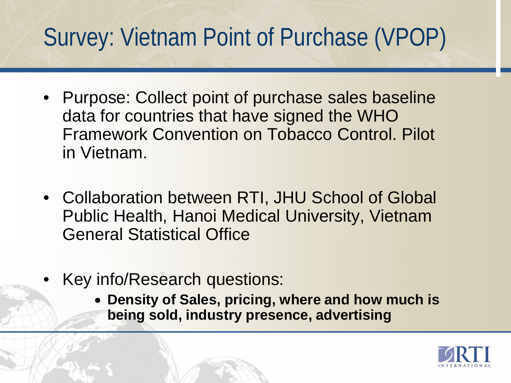### Survey: Vietnam Point of Purchase (VPOP)

- Purpose: Collect point of purchase sales baseline data for countries that have signed the WHO Framework Convention on Tobacco Control. Pilot in Vietnam.
- Collaboration between RTI, JHU School of Global Public Health, Hanoi Medical University, Vietnam General Statistical Office
- Key info/Research questions:
	- **Density of Sales, pricing, where and how much is being sold, industry presence, advertising**

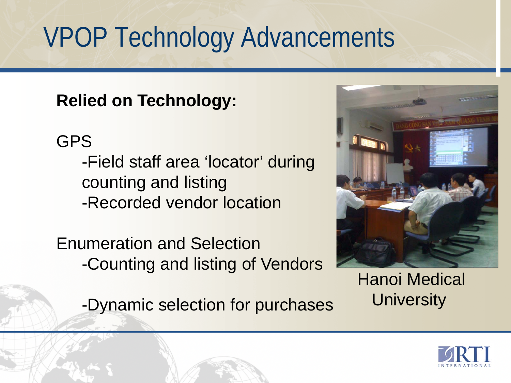# VPOP Technology Advancements

**Relied on Technology:**

GPS

-Field staff area 'locator' during counting and listing -Recorded vendor location

Enumeration and Selection -Counting and listing of Vendors

-Dynamic selection for purchases



Hanoi Medical **University** 

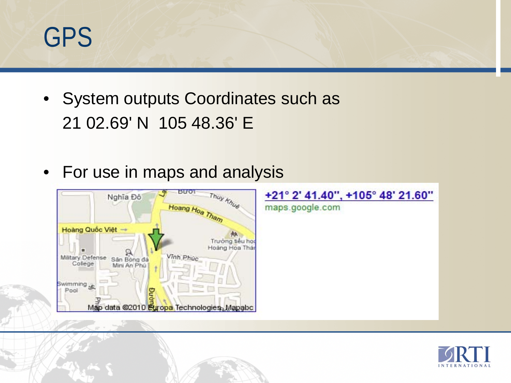## GPS

- System outputs Coordinates such as 21 02.69' N 105 48.36' E
- For use in maps and analysis



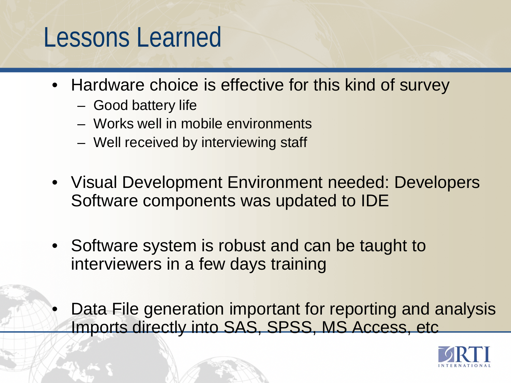### Lessons Learned

- Hardware choice is effective for this kind of survey
	- Good battery life
	- Works well in mobile environments
	- Well received by interviewing staff
- Visual Development Environment needed: Developers Software components was updated to IDE
- Software system is robust and can be taught to interviewers in a few days training
- Data File generation important for reporting and analysis Imports directly into SAS, SPSS, MS Access, etc